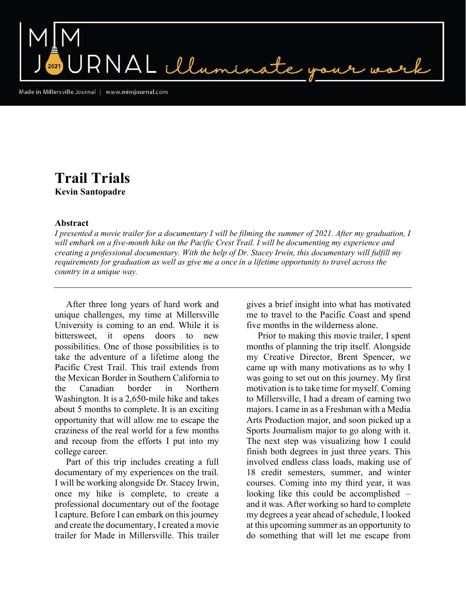NAL illumin

Made in Millersville Journal | www.mimjournal.com

## Trail Trials Kevin Santopadre

## Abstract

I presented a movie trailer for a documentary I will be filming the summer of 2021. After my graduation, I will embark on a five-month hike on the Pacific Crest Trail. I will be documenting my experience and creating a professional documentary. With the help of Dr. Stacey Irwin, this documentary will fulfill my requirements for graduation as well as give me a once in a lifetime opportunity to travel across the country in a unique way.

 After three long years of hard work and unique challenges, my time at Millersville University is coming to an end. While it is bittersweet, it opens doors to new possibilities. One of those possibilities is to take the adventure of a lifetime along the Pacific Crest Trail. This trail extends from the Mexican Border in Southern California to the Canadian border in Northern Washington. It is a 2,650-mile hike and takes about 5 months to complete. It is an exciting opportunity that will allow me to escape the craziness of the real world for a few months and recoup from the efforts I put into my college career.

 Part of this trip includes creating a full documentary of my experiences on the trail. I will be working alongside Dr. Stacey Irwin, once my hike is complete, to create a professional documentary out of the footage I capture. Before I can embark on this journey and create the documentary, I created a movie trailer for Made in Millersville. This trailer gives a brief insight into what has motivated me to travel to the Pacific Coast and spend five months in the wilderness alone.

 Prior to making this movie trailer, I spent months of planning the trip itself. Alongside my Creative Director, Brent Spencer, we came up with many motivations as to why I was going to set out on this journey. My first motivation is to take time for myself. Coming to Millersville, I had a dream of earning two majors. I came in as a Freshman with a Media Arts Production major, and soon picked up a Sports Journalism major to go along with it. The next step was visualizing how I could finish both degrees in just three years. This involved endless class loads, making use of 18 credit semesters, summer, and winter courses. Coming into my third year, it was looking like this could be accomplished – and it was. After working so hard to complete my degrees a year ahead of schedule, I looked at this upcoming summer as an opportunity to do something that will let me escape from